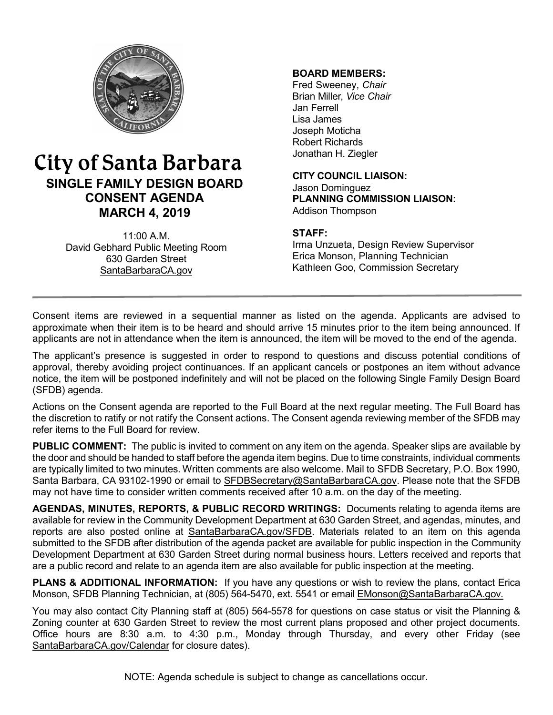

# City of Santa Barbara **SINGLE FAMILY DESIGN BOARD CONSENT AGENDA MARCH 4, 2019**

11:00 A.M. David Gebhard Public Meeting Room 630 Garden Street [SantaBarbaraCA.gov](http://www.santabarbaraca.gov/)

## **BOARD MEMBERS:**

Fred Sweeney, *Chair* Brian Miller, *Vice Chair* Jan Ferrell Lisa James Joseph Moticha Robert Richards Jonathan H. Ziegler

**CITY COUNCIL LIAISON:** Jason Dominguez **PLANNING COMMISSION LIAISON:** Addison Thompson

#### **STAFF:**

Irma Unzueta, Design Review Supervisor Erica Monson, Planning Technician Kathleen Goo, Commission Secretary

Consent items are reviewed in a sequential manner as listed on the agenda. Applicants are advised to approximate when their item is to be heard and should arrive 15 minutes prior to the item being announced. If applicants are not in attendance when the item is announced, the item will be moved to the end of the agenda.

The applicant's presence is suggested in order to respond to questions and discuss potential conditions of approval, thereby avoiding project continuances. If an applicant cancels or postpones an item without advance notice, the item will be postponed indefinitely and will not be placed on the following Single Family Design Board (SFDB) agenda.

Actions on the Consent agenda are reported to the Full Board at the next regular meeting. The Full Board has the discretion to ratify or not ratify the Consent actions. The Consent agenda reviewing member of the SFDB may refer items to the Full Board for review.

**PUBLIC COMMENT:** The public is invited to comment on any item on the agenda. Speaker slips are available by the door and should be handed to staff before the agenda item begins. Due to time constraints, individual comments are typically limited to two minutes. Written comments are also welcome. Mail to SFDB Secretary, P.O. Box 1990, Santa Barbara, CA 93102-1990 or email to [SFDBSecretary@SantaBarbaraCA.gov](mailto:SFDBSecretary@SantaBarbaraCA.gov). Please note that the SFDB may not have time to consider written comments received after 10 a.m. on the day of the meeting.

**AGENDAS, MINUTES, REPORTS, & PUBLIC RECORD WRITINGS:** Documents relating to agenda items are available for review in the Community Development Department at 630 Garden Street, and agendas, minutes, and reports are also posted online at [SantaBarbaraCA.gov/SFDB](http://www.santabarbaraca.gov/gov/brdcomm/nz/sfdb/agendas.asp). Materials related to an item on this agenda submitted to the SFDB after distribution of the agenda packet are available for public inspection in the Community Development Department at 630 Garden Street during normal business hours. Letters received and reports that are a public record and relate to an agenda item are also available for public inspection at the meeting.

**PLANS & ADDITIONAL INFORMATION:** If you have any questions or wish to review the plans, contact Erica Monson, SFDB Planning Technician, at (805) 564-5470, ext. 5541 or email [EMonson@SantaBarbaraCA.gov](mailto:EMonson@SantaBarbaraCA.gov).

You may also contact City Planning staff at (805) 564-5578 for questions on case status or visit the Planning & Zoning counter at 630 Garden Street to review the most current plans proposed and other project documents. Office hours are 8:30 a.m. to 4:30 p.m., Monday through Thursday, and every other Friday (see [SantaBarbaraCA.gov/Calendar](http://www.santabarbaraca.gov/cals/default.asp) for closure dates).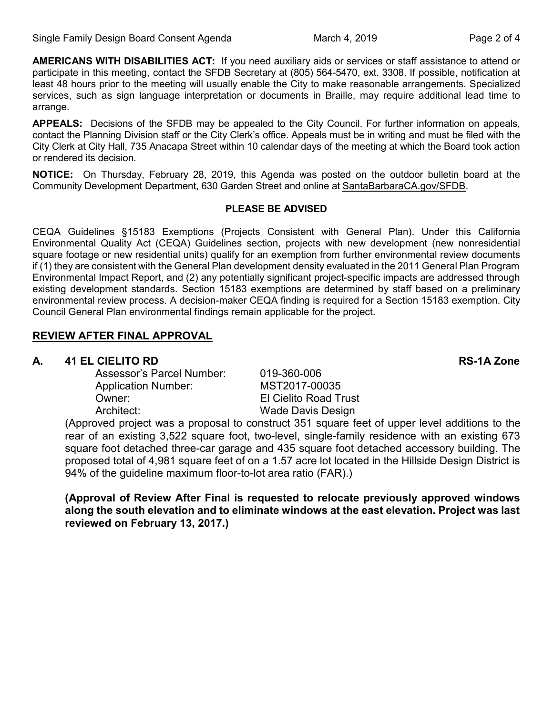**AMERICANS WITH DISABILITIES ACT:** If you need auxiliary aids or services or staff assistance to attend or participate in this meeting, contact the SFDB Secretary at (805) 564-5470, ext. 3308. If possible, notification at least 48 hours prior to the meeting will usually enable the City to make reasonable arrangements. Specialized services, such as sign language interpretation or documents in Braille, may require additional lead time to arrange.

**APPEALS:** Decisions of the SFDB may be appealed to the City Council. For further information on appeals, contact the Planning Division staff or the City Clerk's office. Appeals must be in writing and must be filed with the City Clerk at City Hall, 735 Anacapa Street within 10 calendar days of the meeting at which the Board took action or rendered its decision.

**NOTICE:** On Thursday, February 28, 2019, this Agenda was posted on the outdoor bulletin board at the Community Development Department, 630 Garden Street and online at [SantaBarbaraCA.gov/SFDB.](http://www.santabarbaraca.gov/gov/brdcomm/nz/sfdb/agendas.asp)

#### **PLEASE BE ADVISED**

CEQA Guidelines §15183 Exemptions (Projects Consistent with General Plan). Under this California Environmental Quality Act (CEQA) Guidelines section, projects with new development (new nonresidential square footage or new residential units) qualify for an exemption from further environmental review documents if (1) they are consistent with the General Plan development density evaluated in the 2011 General Plan Program Environmental Impact Report, and (2) any potentially significant project-specific impacts are addressed through existing development standards. Section 15183 exemptions are determined by staff based on a preliminary environmental review process. A decision-maker CEQA finding is required for a Section 15183 exemption. City Council General Plan environmental findings remain applicable for the project.

## **REVIEW AFTER FINAL APPROVAL**

#### **A. 41 EL CIELITO RD RS-1A Zone**

Assessor's Parcel Number: 019-360-006 Application Number: MST2017-00035 Owner: El Cielito Road Trust Architect: Wade Davis Design

(Approved project was a proposal to construct 351 square feet of upper level additions to the rear of an existing 3,522 square foot, two-level, single-family residence with an existing 673 square foot detached three-car garage and 435 square foot detached accessory building. The proposed total of 4,981 square feet of on a 1.57 acre lot located in the Hillside Design District is 94% of the guideline maximum floor-to-lot area ratio (FAR).)

**(Approval of Review After Final is requested to relocate previously approved windows along the south elevation and to eliminate windows at the east elevation. Project was last reviewed on February 13, 2017.)**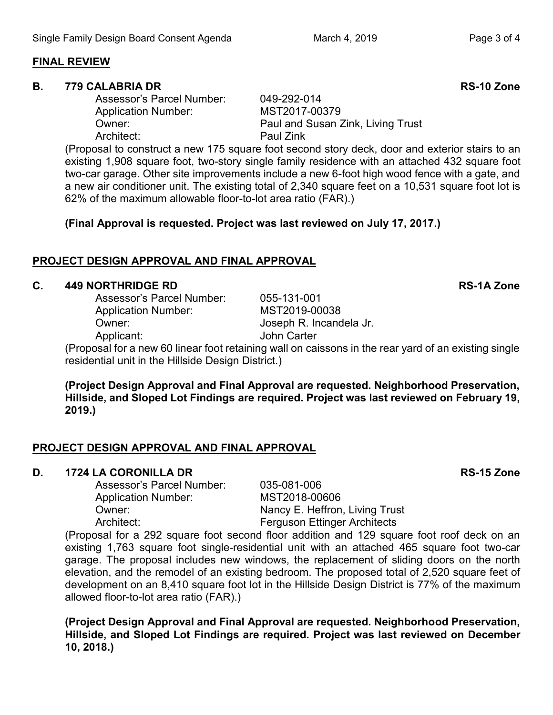## **FINAL REVIEW**

#### **B. 779 CALABRIA DR RS-10 Zone**

Assessor's Parcel Number: 049-292-014 Application Number: MST2017-00379 Owner: Paul and Susan Zink, Living Trust Architect: Paul Zink

(Proposal to construct a new 175 square foot second story deck, door and exterior stairs to an existing 1,908 square foot, two-story single family residence with an attached 432 square foot two-car garage. Other site improvements include a new 6-foot high wood fence with a gate, and a new air conditioner unit. The existing total of 2,340 square feet on a 10,531 square foot lot is 62% of the maximum allowable floor-to-lot area ratio (FAR).)

**(Final Approval is requested. Project was last reviewed on July 17, 2017.)**

# **PROJECT DESIGN APPROVAL AND FINAL APPROVAL**

# **C. 449 NORTHRIDGE RD RS-1A Zone**

Assessor's Parcel Number: 055-131-001 Application Number: MST2019-00038 Owner: Joseph R. Incandela Jr. Applicant: John Carter

(Proposal for a new 60 linear foot retaining wall on caissons in the rear yard of an existing single residential unit in the Hillside Design District.)

**(Project Design Approval and Final Approval are requested. Neighborhood Preservation, Hillside, and Sloped Lot Findings are required. Project was last reviewed on February 19, 2019.)**

## **PROJECT DESIGN APPROVAL AND FINAL APPROVAL**

#### **D. 1724 LA CORONILLA DR RS-15 Zone**

Assessor's Parcel Number: 035-081-006 Application Number: MST2018-00606

(Proposal for a 292 square foot second floor addition and 129 square foot roof deck on an existing 1,763 square foot single-residential unit with an attached 465 square foot two-car garage. The proposal includes new windows, the replacement of sliding doors on the north elevation, and the remodel of an existing bedroom. The proposed total of 2,520 square feet of development on an 8,410 square foot lot in the Hillside Design District is 77% of the maximum allowed floor-to-lot area ratio (FAR).)

**(Project Design Approval and Final Approval are requested. Neighborhood Preservation, Hillside, and Sloped Lot Findings are required. Project was last reviewed on December 10, 2018.)**

Owner: Nancy E. Heffron, Living Trust Architect: Ferguson Ettinger Architects